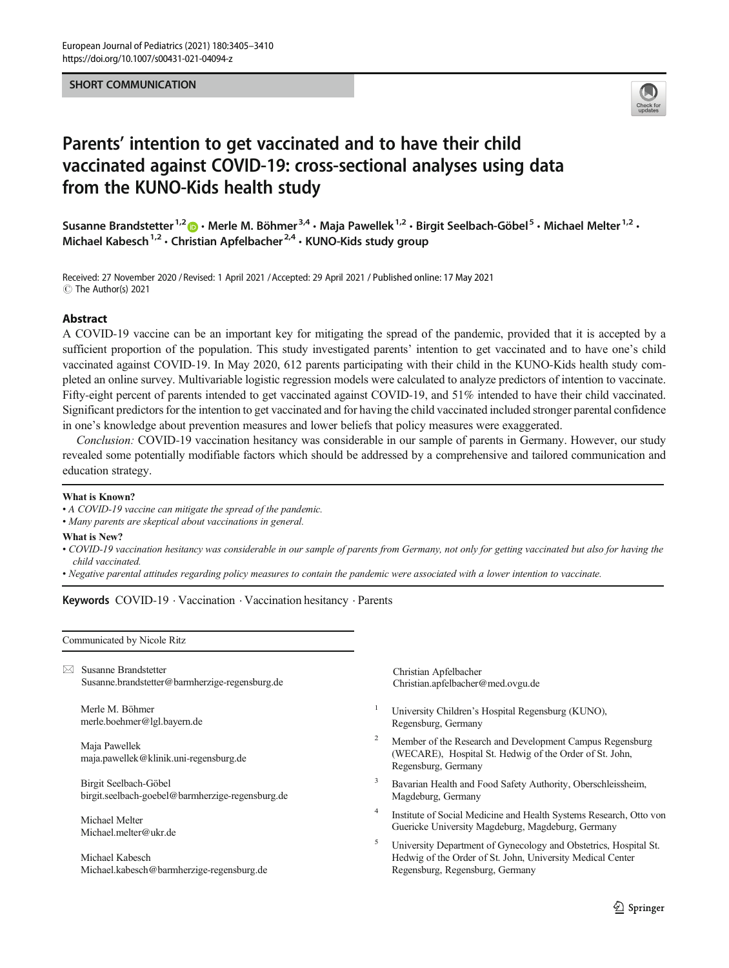### SHORT COMMUNICATION



# Parents' intention to get vaccinated and to have their child vaccinated against COVID-19: cross-sectional analyses using data from the KUNO-Kids health study

Susanne Brandstetter<sup>1,2</sup>  $\cdot$  Merle M. Böhmer<sup>3,4</sup>  $\cdot$  Maja Pawellek<sup>1,2</sup>  $\cdot$  Birgit Seelbach-Göbel<sup>5</sup>  $\cdot$  Michael Melter<sup>1,2</sup>  $\cdot$ Michael Kabesch<sup>1,2</sup> · Christian Apfelbacher<sup>2,4</sup> · KUNO-Kids study group

Received: 27 November 2020 / Revised: 1 April 2021 /Accepted: 29 April 2021 / Published online: 17 May 2021  $\circledcirc$  The Author(s) 2021

### Abstract

A COVID-19 vaccine can be an important key for mitigating the spread of the pandemic, provided that it is accepted by a sufficient proportion of the population. This study investigated parents' intention to get vaccinated and to have one's child vaccinated against COVID-19. In May 2020, 612 parents participating with their child in the KUNO-Kids health study completed an online survey. Multivariable logistic regression models were calculated to analyze predictors of intention to vaccinate. Fifty-eight percent of parents intended to get vaccinated against COVID-19, and 51% intended to have their child vaccinated. Significant predictors for the intention to get vaccinated and for having the child vaccinated included stronger parental confidence in one's knowledge about prevention measures and lower beliefs that policy measures were exaggerated.

Conclusion: COVID-19 vaccination hesitancy was considerable in our sample of parents in Germany. However, our study revealed some potentially modifiable factors which should be addressed by a comprehensive and tailored communication and education strategy.

### What is Known?

#### • A COVID-19 vaccine can mitigate the spread of the pandemic.

• Many parents are skeptical about vaccinations in general.

### What is New?

- COVID-19 vaccination hesitancy was considerable in our sample of parents from Germany, not only for getting vaccinated but also for having the child vaccinated.
- Negative parental attitudes regarding policy measures to contain the pandemic were associated with a lower intention to vaccinate.

### Keywords COVID-19 . Vaccination . Vaccination hesitancy . Parents

Communicated by Nicole Ritz

 $\boxtimes$  Susanne Brandstetter [Susanne.brandstetter@barmherzige-regensburg.de](mailto:Susanne.brandstetter@barmherzige-regensburg.de)

Merle M. Böhmer merle.boehmer@lgl.bayern.de

Maja Pawellek maja.pawellek@klinik.uni-regensburg.de

Birgit Seelbach-Göbel birgit.seelbach-goebel@barmherzige-regensburg.de

Michael Melter Michael.melter@ukr.de

Michael Kabesch Michael.kabesch@barmherzige-regensburg.de Christian Apfelbacher Christian.apfelbacher@med.ovgu.de

- <sup>1</sup> University Children's Hospital Regensburg (KUNO), Regensburg, Germany
- <sup>2</sup> Member of the Research and Development Campus Regensburg (WECARE), Hospital St. Hedwig of the Order of St. John, Regensburg, Germany
- Bavarian Health and Food Safety Authority, Oberschleissheim, Magdeburg, Germany
- <sup>4</sup> Institute of Social Medicine and Health Systems Research, Otto von Guericke University Magdeburg, Magdeburg, Germany
- <sup>5</sup> University Department of Gynecology and Obstetrics, Hospital St. Hedwig of the Order of St. John, University Medical Center Regensburg, Regensburg, Germany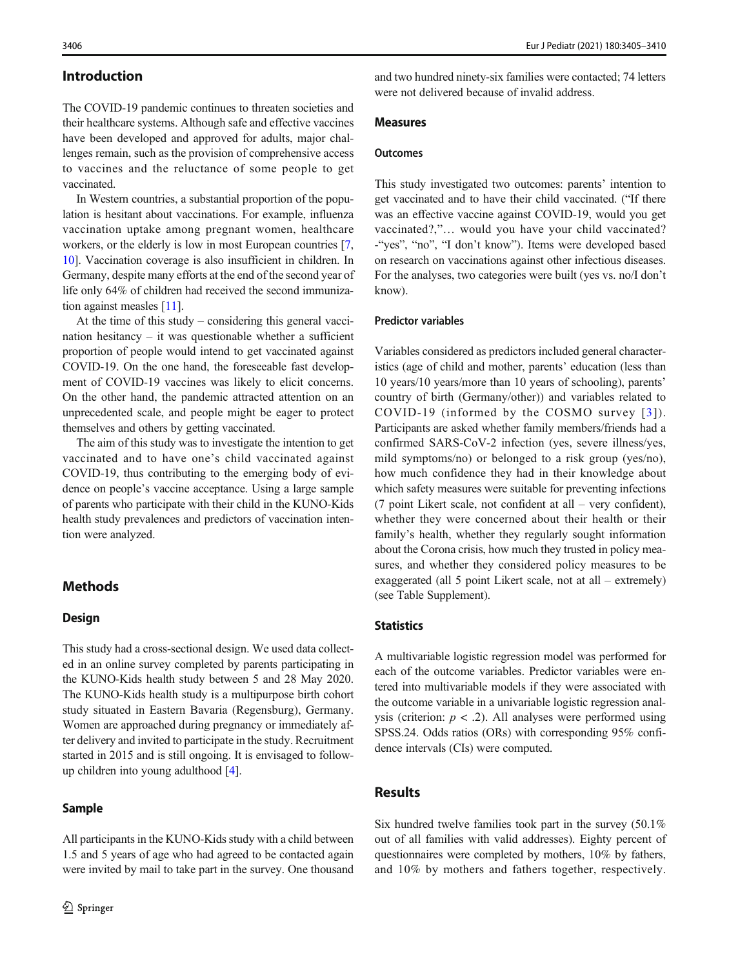# Introduction

The COVID-19 pandemic continues to threaten societies and their healthcare systems. Although safe and effective vaccines have been developed and approved for adults, major challenges remain, such as the provision of comprehensive access to vaccines and the reluctance of some people to get vaccinated.

In Western countries, a substantial proportion of the population is hesitant about vaccinations. For example, influenza vaccination uptake among pregnant women, healthcare workers, or the elderly is low in most European countries [[7,](#page-4-0) [10\]](#page-5-0). Vaccination coverage is also insufficient in children. In Germany, despite many efforts at the end of the second year of life only 64% of children had received the second immunization against measles [\[11\]](#page-5-0).

At the time of this study – considering this general vaccination hesitancy – it was questionable whether a sufficient proportion of people would intend to get vaccinated against COVID-19. On the one hand, the foreseeable fast development of COVID-19 vaccines was likely to elicit concerns. On the other hand, the pandemic attracted attention on an unprecedented scale, and people might be eager to protect themselves and others by getting vaccinated.

The aim of this study was to investigate the intention to get vaccinated and to have one's child vaccinated against COVID-19, thus contributing to the emerging body of evidence on people's vaccine acceptance. Using a large sample of parents who participate with their child in the KUNO-Kids health study prevalences and predictors of vaccination intention were analyzed.

# Methods

### Design

This study had a cross-sectional design. We used data collected in an online survey completed by parents participating in the KUNO-Kids health study between 5 and 28 May 2020. The KUNO-Kids health study is a multipurpose birth cohort study situated in Eastern Bavaria (Regensburg), Germany. Women are approached during pregnancy or immediately after delivery and invited to participate in the study. Recruitment started in 2015 and is still ongoing. It is envisaged to followup children into young adulthood [\[4](#page-4-0)].

# Sample

All participants in the KUNO-Kids study with a child between 1.5 and 5 years of age who had agreed to be contacted again were invited by mail to take part in the survey. One thousand

and two hundred ninety-six families were contacted; 74 letters were not delivered because of invalid address.

### **Measures**

### **Outcomes**

This study investigated two outcomes: parents' intention to get vaccinated and to have their child vaccinated. ("If there was an effective vaccine against COVID-19, would you get vaccinated?,"… would you have your child vaccinated? -"yes", "no", "I don't know"). Items were developed based on research on vaccinations against other infectious diseases. For the analyses, two categories were built (yes vs. no/I don't know).

### Predictor variables

Variables considered as predictors included general characteristics (age of child and mother, parents' education (less than 10 years/10 years/more than 10 years of schooling), parents' country of birth (Germany/other)) and variables related to COVID-19 (informed by the COSMO survey [[3\]](#page-4-0)). Participants are asked whether family members/friends had a confirmed SARS-CoV-2 infection (yes, severe illness/yes, mild symptoms/no) or belonged to a risk group (yes/no), how much confidence they had in their knowledge about which safety measures were suitable for preventing infections (7 point Likert scale, not confident at all – very confident), whether they were concerned about their health or their family's health, whether they regularly sought information about the Corona crisis, how much they trusted in policy measures, and whether they considered policy measures to be exaggerated (all 5 point Likert scale, not at all – extremely) (see Table Supplement).

A multivariable logistic regression model was performed for each of the outcome variables. Predictor variables were entered into multivariable models if they were associated with the outcome variable in a univariable logistic regression analysis (criterion:  $p < .2$ ). All analyses were performed using SPSS.24. Odds ratios (ORs) with corresponding 95% confidence intervals (CIs) were computed.

# **Results**

Six hundred twelve families took part in the survey (50.1% out of all families with valid addresses). Eighty percent of questionnaires were completed by mothers, 10% by fathers, and 10% by mothers and fathers together, respectively.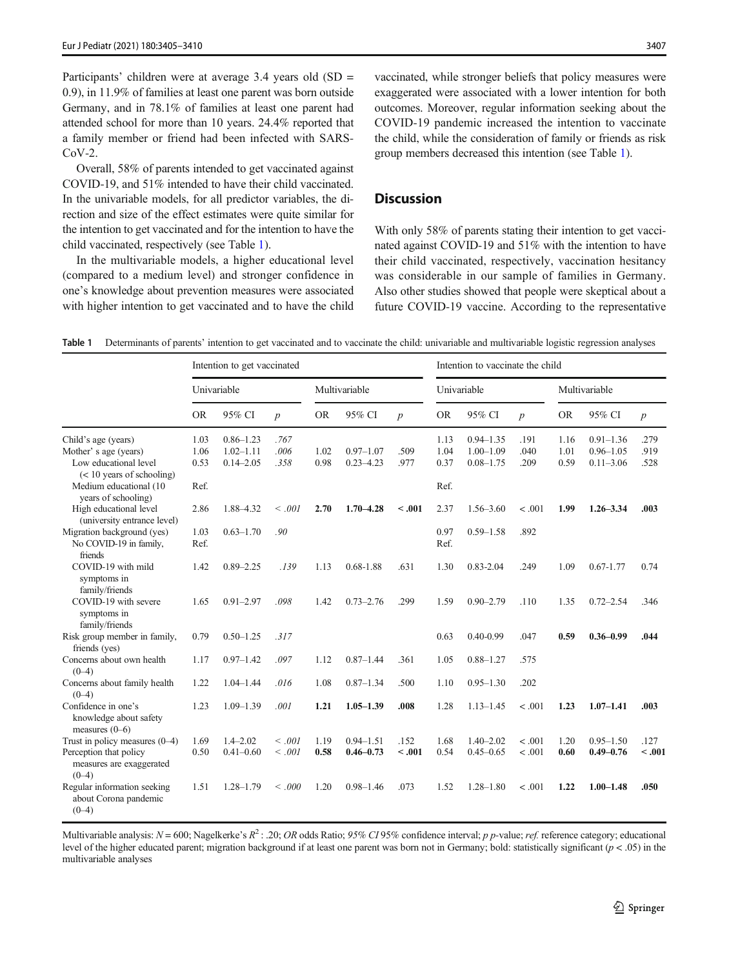Participants' children were at average 3.4 years old (SD = 0.9), in 11.9% of families at least one parent was born outside Germany, and in 78.1% of families at least one parent had attended school for more than 10 years. 24.4% reported that a family member or friend had been infected with SARS-CoV-2.

Overall, 58% of parents intended to get vaccinated against COVID-19, and 51% intended to have their child vaccinated. In the univariable models, for all predictor variables, the direction and size of the effect estimates were quite similar for the intention to get vaccinated and for the intention to have the child vaccinated, respectively (see Table 1).

In the multivariable models, a higher educational level (compared to a medium level) and stronger confidence in one's knowledge about prevention measures were associated with higher intention to get vaccinated and to have the child

vaccinated, while stronger beliefs that policy measures were exaggerated were associated with a lower intention for both outcomes. Moreover, regular information seeking about the COVID-19 pandemic increased the intention to vaccinate the child, while the consideration of family or friends as risk group members decreased this intention (see Table 1).

# **Discussion**

With only 58% of parents stating their intention to get vaccinated against COVID-19 and 51% with the intention to have their child vaccinated, respectively, vaccination hesitancy was considerable in our sample of families in Germany. Also other studies showed that people were skeptical about a future COVID-19 vaccine. According to the representative

Table 1 Determinants of parents' intention to get vaccinated and to vaccinate the child: univariable and multivariable logistic regression analyses

|                                                                   | Intention to get vaccinated |               |                  |               |               |                  | Intention to vaccinate the child |               |                  |               |               |                |
|-------------------------------------------------------------------|-----------------------------|---------------|------------------|---------------|---------------|------------------|----------------------------------|---------------|------------------|---------------|---------------|----------------|
|                                                                   | Univariable                 |               |                  | Multivariable |               |                  | Univariable                      |               |                  | Multivariable |               |                |
|                                                                   | <b>OR</b>                   | 95% CI        | $\boldsymbol{p}$ | <b>OR</b>     | 95% CI        | $\boldsymbol{p}$ | <b>OR</b>                        | 95% CI        | $\boldsymbol{p}$ | <b>OR</b>     | 95% CI        | $\overline{p}$ |
| Child's age (years)                                               | 1.03                        | $0.86 - 1.23$ | .767             |               |               |                  | 1.13                             | $0.94 - 1.35$ | .191             | 1.16          | $0.91 - 1.36$ | .279           |
| Mother' s age (years)                                             | 1.06                        | $1.02 - 1.11$ | .006             | 1.02          | $0.97 - 1.07$ | .509             | 1.04                             | $1.00 - 1.09$ | .040             | 1.01          | $0.96 - 1.05$ | .919           |
| Low educational level<br>$(< 10$ years of schooling)              | 0.53                        | $0.14 - 2.05$ | .358             | 0.98          | $0.23 - 4.23$ | .977             | 0.37                             | $0.08 - 1.75$ | .209             | 0.59          | $0.11 - 3.06$ | .528           |
| Medium educational (10<br>years of schooling)                     | Ref.                        |               |                  |               |               |                  | Ref.                             |               |                  |               |               |                |
| High educational level<br>(university entrance level)             | 2.86                        | 1.88-4.32     | < .001           | 2.70          | $1.70 - 4.28$ | $-.001$          | 2.37                             | $1.56 - 3.60$ | $-.001$          | 1.99          | $1.26 - 3.34$ | .003           |
| Migration background (yes)<br>No COVID-19 in family,<br>friends   | 1.03<br>Ref.                | $0.63 - 1.70$ | .90              |               |               |                  | 0.97<br>Ref.                     | $0.59 - 1.58$ | .892             |               |               |                |
| COVID-19 with mild<br>symptoms in<br>family/friends               | 1.42                        | $0.89 - 2.25$ | .139             | 1.13          | $0.68 - 1.88$ | .631             | 1.30                             | $0.83 - 2.04$ | .249             | 1.09          | $0.67 - 1.77$ | 0.74           |
| COVID-19 with severe<br>symptoms in<br>family/friends             | 1.65                        | $0.91 - 2.97$ | .098             | 1.42          | $0.73 - 2.76$ | .299             | 1.59                             | $0.90 - 2.79$ | .110             | 1.35          | $0.72 - 2.54$ | .346           |
| Risk group member in family,<br>friends (yes)                     | 0.79                        | $0.50 - 1.25$ | .317             |               |               |                  | 0.63                             | $0.40 - 0.99$ | .047             | 0.59          | $0.36 - 0.99$ | .044           |
| Concerns about own health<br>$(0-4)$                              | 1.17                        | $0.97 - 1.42$ | .097             | 1.12          | $0.87 - 1.44$ | .361             | 1.05                             | $0.88 - 1.27$ | .575             |               |               |                |
| Concerns about family health<br>$(0-4)$                           | 1.22                        | $1.04 - 1.44$ | .016             | 1.08          | $0.87 - 1.34$ | .500             | 1.10                             | $0.95 - 1.30$ | .202             |               |               |                |
| Confidence in one's<br>knowledge about safety<br>measures $(0-6)$ | 1.23                        | $1.09 - 1.39$ | .001             | 1.21          | $1.05 - 1.39$ | .008             | 1.28                             | $1.13 - 1.45$ | < .001           | 1.23          | $1.07 - 1.41$ | .003           |
| Trust in policy measures $(0-4)$                                  | 1.69                        | $1.4 - 2.02$  | < .001           | 1.19          | $0.94 - 1.51$ | .152             | 1.68                             | $1.40 - 2.02$ | < .001           | 1.20          | $0.95 - 1.50$ | .127           |
| Perception that policy<br>measures are exaggerated<br>$(0-4)$     | 0.50                        | $0.41 - 0.60$ | < .001           | 0.58          | $0.46 - 0.73$ | $-.001$          | 0.54                             | $0.45 - 0.65$ | < 0.001          | 0.60          | $0.49 - 0.76$ | < 0.01         |
| Regular information seeking<br>about Corona pandemic<br>$(0-4)$   | 1.51                        | $1.28 - 1.79$ | < 0.000          | 1.20          | $0.98 - 1.46$ | .073             | 1.52                             | $1.28 - 1.80$ | < .001           | 1.22          | $1.00 - 1.48$ | .050           |

Multivariable analysis:  $N = 600$ ; Nagelkerke's  $R^2$ : .20; OR odds Ratio; 95% CI 95% confidence interval; p p-value; ref. reference category; educational level of the higher educated parent; migration background if at least one parent was born not in Germany; bold: statistically significant ( $p < .05$ ) in the multivariable analyses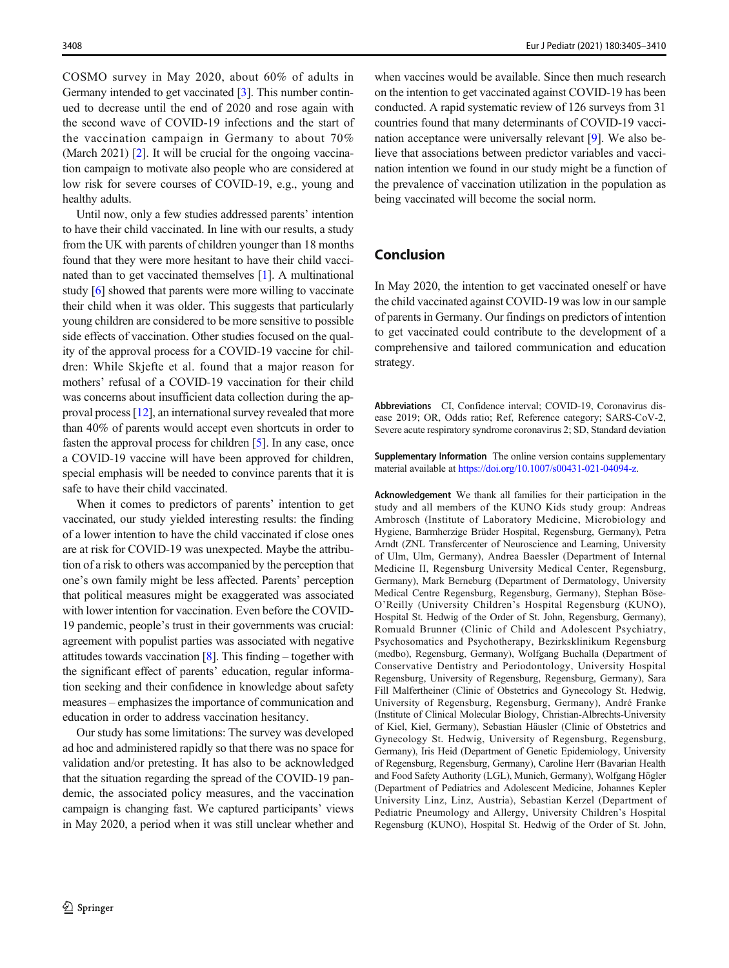COSMO survey in May 2020, about 60% of adults in Germany intended to get vaccinated [[3\]](#page-4-0). This number continued to decrease until the end of 2020 and rose again with the second wave of COVID-19 infections and the start of the vaccination campaign in Germany to about 70% (March 2021) [\[2](#page-4-0)]. It will be crucial for the ongoing vaccination campaign to motivate also people who are considered at low risk for severe courses of COVID-19, e.g., young and healthy adults.

Until now, only a few studies addressed parents' intention to have their child vaccinated. In line with our results, a study from the UK with parents of children younger than 18 months found that they were more hesitant to have their child vaccinated than to get vaccinated themselves [\[1\]](#page-4-0). A multinational study [[6\]](#page-4-0) showed that parents were more willing to vaccinate their child when it was older. This suggests that particularly young children are considered to be more sensitive to possible side effects of vaccination. Other studies focused on the quality of the approval process for a COVID-19 vaccine for children: While Skjefte et al. found that a major reason for mothers' refusal of a COVID-19 vaccination for their child was concerns about insufficient data collection during the approval process [[12](#page-5-0)], an international survey revealed that more than 40% of parents would accept even shortcuts in order to fasten the approval process for children [\[5](#page-4-0)]. In any case, once a COVID-19 vaccine will have been approved for children, special emphasis will be needed to convince parents that it is safe to have their child vaccinated.

When it comes to predictors of parents' intention to get vaccinated, our study yielded interesting results: the finding of a lower intention to have the child vaccinated if close ones are at risk for COVID-19 was unexpected. Maybe the attribution of a risk to others was accompanied by the perception that one's own family might be less affected. Parents' perception that political measures might be exaggerated was associated with lower intention for vaccination. Even before the COVID-19 pandemic, people's trust in their governments was crucial: agreement with populist parties was associated with negative attitudes towards vaccination [[8](#page-5-0)]. This finding – together with the significant effect of parents' education, regular information seeking and their confidence in knowledge about safety measures – emphasizes the importance of communication and education in order to address vaccination hesitancy.

Our study has some limitations: The survey was developed ad hoc and administered rapidly so that there was no space for validation and/or pretesting. It has also to be acknowledged that the situation regarding the spread of the COVID-19 pandemic, the associated policy measures, and the vaccination campaign is changing fast. We captured participants' views in May 2020, a period when it was still unclear whether and

when vaccines would be available. Since then much research on the intention to get vaccinated against COVID-19 has been conducted. A rapid systematic review of 126 surveys from 31 countries found that many determinants of COVID-19 vaccination acceptance were universally relevant [\[9](#page-5-0)]. We also believe that associations between predictor variables and vaccination intention we found in our study might be a function of the prevalence of vaccination utilization in the population as being vaccinated will become the social norm.

# Conclusion

In May 2020, the intention to get vaccinated oneself or have the child vaccinated against COVID-19 was low in our sample of parents in Germany. Our findings on predictors of intention to get vaccinated could contribute to the development of a comprehensive and tailored communication and education strategy.

Abbreviations CI, Confidence interval; COVID-19, Coronavirus disease 2019; OR, Odds ratio; Ref, Reference category; SARS-CoV-2, Severe acute respiratory syndrome coronavirus 2; SD, Standard deviation

Supplementary Information The online version contains supplementary material available at [https://doi.org/10.1007/s00431-021-04094-z.](https://doi.org/10.1007/s00431-021-04094-z)

Acknowledgement We thank all families for their participation in the study and all members of the KUNO Kids study group: Andreas Ambrosch (Institute of Laboratory Medicine, Microbiology and Hygiene, Barmherzige Brüder Hospital, Regensburg, Germany), Petra Arndt (ZNL Transfercenter of Neuroscience and Learning, University of Ulm, Ulm, Germany), Andrea Baessler (Department of Internal Medicine II, Regensburg University Medical Center, Regensburg, Germany), Mark Berneburg (Department of Dermatology, University Medical Centre Regensburg, Regensburg, Germany), Stephan Böse-O'Reilly (University Children's Hospital Regensburg (KUNO), Hospital St. Hedwig of the Order of St. John, Regensburg, Germany), Romuald Brunner (Clinic of Child and Adolescent Psychiatry, Psychosomatics and Psychotherapy, Bezirksklinikum Regensburg (medbo), Regensburg, Germany), Wolfgang Buchalla (Department of Conservative Dentistry and Periodontology, University Hospital Regensburg, University of Regensburg, Regensburg, Germany), Sara Fill Malfertheiner (Clinic of Obstetrics and Gynecology St. Hedwig, University of Regensburg, Regensburg, Germany), André Franke (Institute of Clinical Molecular Biology, Christian-Albrechts-University of Kiel, Kiel, Germany), Sebastian Häusler (Clinic of Obstetrics and Gynecology St. Hedwig, University of Regensburg, Regensburg, Germany), Iris Heid (Department of Genetic Epidemiology, University of Regensburg, Regensburg, Germany), Caroline Herr (Bavarian Health and Food Safety Authority (LGL), Munich, Germany), Wolfgang Högler (Department of Pediatrics and Adolescent Medicine, Johannes Kepler University Linz, Linz, Austria), Sebastian Kerzel (Department of Pediatric Pneumology and Allergy, University Children's Hospital Regensburg (KUNO), Hospital St. Hedwig of the Order of St. John,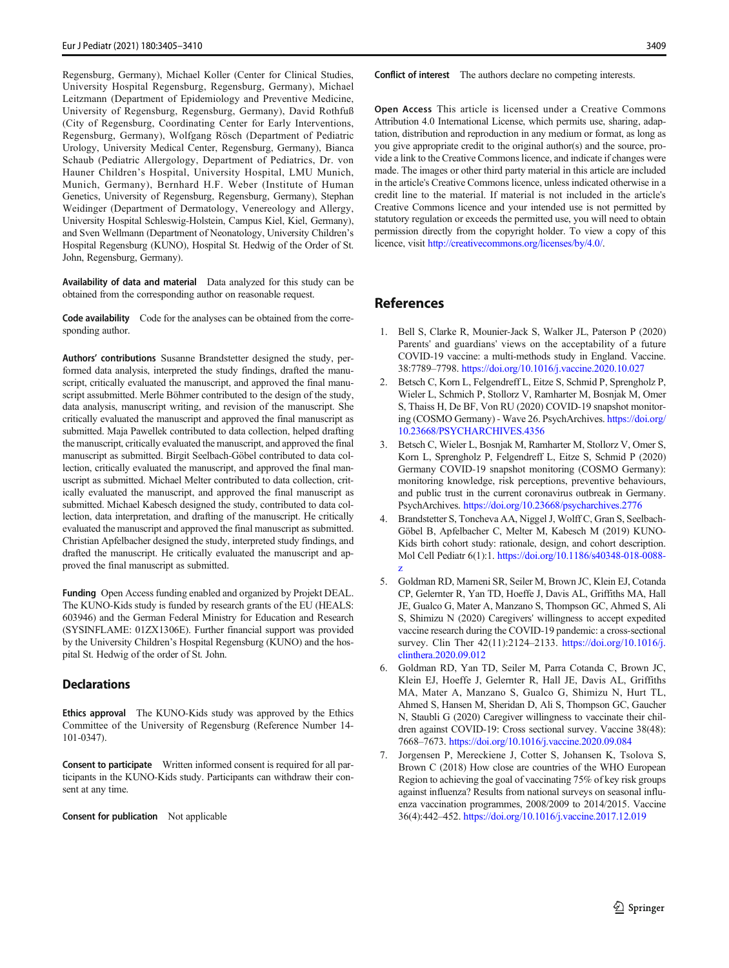<span id="page-4-0"></span>Regensburg, Germany), Michael Koller (Center for Clinical Studies, University Hospital Regensburg, Regensburg, Germany), Michael Leitzmann (Department of Epidemiology and Preventive Medicine, University of Regensburg, Regensburg, Germany), David Rothfuß (City of Regensburg, Coordinating Center for Early Interventions, Regensburg, Germany), Wolfgang Rösch (Department of Pediatric Urology, University Medical Center, Regensburg, Germany), Bianca Schaub (Pediatric Allergology, Department of Pediatrics, Dr. von Hauner Children's Hospital, University Hospital, LMU Munich, Munich, Germany), Bernhard H.F. Weber (Institute of Human Genetics, University of Regensburg, Regensburg, Germany), Stephan Weidinger (Department of Dermatology, Venereology and Allergy, University Hospital Schleswig-Holstein, Campus Kiel, Kiel, Germany), and Sven Wellmann (Department of Neonatology, University Children's Hospital Regensburg (KUNO), Hospital St. Hedwig of the Order of St. John, Regensburg, Germany).

Availability of data and material Data analyzed for this study can be obtained from the corresponding author on reasonable request.

Code availability Code for the analyses can be obtained from the corresponding author.

Authors' contributions Susanne Brandstetter designed the study, performed data analysis, interpreted the study findings, drafted the manuscript, critically evaluated the manuscript, and approved the final manuscript assubmitted. Merle Böhmer contributed to the design of the study, data analysis, manuscript writing, and revision of the manuscript. She critically evaluated the manuscript and approved the final manuscript as submitted. Maja Pawellek contributed to data collection, helped drafting the manuscript, critically evaluated the manuscript, and approved the final manuscript as submitted. Birgit Seelbach-Göbel contributed to data collection, critically evaluated the manuscript, and approved the final manuscript as submitted. Michael Melter contributed to data collection, critically evaluated the manuscript, and approved the final manuscript as submitted. Michael Kabesch designed the study, contributed to data collection, data interpretation, and drafting of the manuscript. He critically evaluated the manuscript and approved the final manuscript as submitted. Christian Apfelbacher designed the study, interpreted study findings, and drafted the manuscript. He critically evaluated the manuscript and approved the final manuscript as submitted.

Funding Open Access funding enabled and organized by Projekt DEAL. The KUNO-Kids study is funded by research grants of the EU (HEALS: 603946) and the German Federal Ministry for Education and Research (SYSINFLAME: 01ZX1306E). Further financial support was provided by the University Children's Hospital Regensburg (KUNO) and the hospital St. Hedwig of the order of St. John.

### **Declarations**

Ethics approval The KUNO-Kids study was approved by the Ethics Committee of the University of Regensburg (Reference Number 14- 101-0347).

Consent to participate Written informed consent is required for all participants in the KUNO-Kids study. Participants can withdraw their consent at any time.

Consent for publication Not applicable

Conflict of interest The authors declare no competing interests.

Open Access This article is licensed under a Creative Commons Attribution 4.0 International License, which permits use, sharing, adaptation, distribution and reproduction in any medium or format, as long as you give appropriate credit to the original author(s) and the source, provide a link to the Creative Commons licence, and indicate if changes were made. The images or other third party material in this article are included in the article's Creative Commons licence, unless indicated otherwise in a credit line to the material. If material is not included in the article's Creative Commons licence and your intended use is not permitted by statutory regulation or exceeds the permitted use, you will need to obtain permission directly from the copyright holder. To view a copy of this licence, visit <http://creativecommons.org/licenses/by/4.0/>.

# References

- 1. Bell S, Clarke R, Mounier-Jack S, Walker JL, Paterson P (2020) Parents' and guardians' views on the acceptability of a future COVID-19 vaccine: a multi-methods study in England. Vaccine. 38:7789–7798. <https://doi.org/10.1016/j.vaccine.2020.10.027>
- 2. Betsch C, Korn L, Felgendreff L, Eitze S, Schmid P, Sprengholz P, Wieler L, Schmich P, Stollorz V, Ramharter M, Bosnjak M, Omer S, Thaiss H, De BF, Von RU (2020) COVID-19 snapshot monitoring (COSMO Germany) - Wave 26. PsychArchives. [https://doi.org/](https://doi.org/10.23668/PSYCHARCHIVES.4356) [10.23668/PSYCHARCHIVES.4356](https://doi.org/10.23668/PSYCHARCHIVES.4356)
- 3. Betsch C, Wieler L, Bosnjak M, Ramharter M, Stollorz V, Omer S, Korn L, Sprengholz P, Felgendreff L, Eitze S, Schmid P (2020) Germany COVID-19 snapshot monitoring (COSMO Germany): monitoring knowledge, risk perceptions, preventive behaviours, and public trust in the current coronavirus outbreak in Germany. PsychArchives. <https://doi.org/10.23668/psycharchives.2776>
- 4. Brandstetter S, Toncheva AA, Niggel J, Wolff C, Gran S, Seelbach-Göbel B, Apfelbacher C, Melter M, Kabesch M (2019) KUNO-Kids birth cohort study: rationale, design, and cohort description. Mol Cell Pediatr 6(1):1. [https://doi.org/10.1186/s40348-018-0088](https://doi.org/10.1186/s40348-018-0088-z) [z](https://doi.org/10.1186/s40348-018-0088-z)
- 5. Goldman RD, Marneni SR, Seiler M, Brown JC, Klein EJ, Cotanda CP, Gelernter R, Yan TD, Hoeffe J, Davis AL, Griffiths MA, Hall JE, Gualco G, Mater A, Manzano S, Thompson GC, Ahmed S, Ali S, Shimizu N (2020) Caregivers' willingness to accept expedited vaccine research during the COVID-19 pandemic: a cross-sectional survey. Clin Ther 42(11):2124–2133. [https://doi.org/10.1016/j.](https://doi.org/10.1016/j.clinthera.2020.09.012) [clinthera.2020.09.012](https://doi.org/10.1016/j.clinthera.2020.09.012)
- 6. Goldman RD, Yan TD, Seiler M, Parra Cotanda C, Brown JC, Klein EJ, Hoeffe J, Gelernter R, Hall JE, Davis AL, Griffiths MA, Mater A, Manzano S, Gualco G, Shimizu N, Hurt TL, Ahmed S, Hansen M, Sheridan D, Ali S, Thompson GC, Gaucher N, Staubli G (2020) Caregiver willingness to vaccinate their children against COVID-19: Cross sectional survey. Vaccine 38(48): 7668–7673. <https://doi.org/10.1016/j.vaccine.2020.09.084>
- 7. Jorgensen P, Mereckiene J, Cotter S, Johansen K, Tsolova S, Brown C (2018) How close are countries of the WHO European Region to achieving the goal of vaccinating 75% of key risk groups against influenza? Results from national surveys on seasonal influenza vaccination programmes, 2008/2009 to 2014/2015. Vaccine 36(4):442–452. <https://doi.org/10.1016/j.vaccine.2017.12.019>